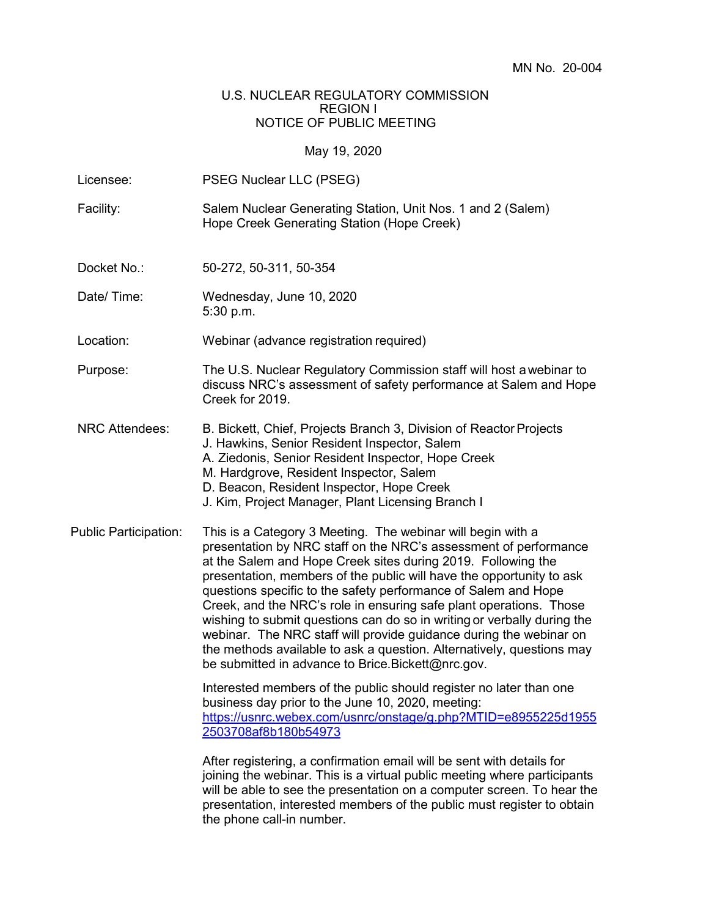## U.S. NUCLEAR REGULATORY COMMISSION REGION I NOTICE OF PUBLIC MEETING

## May 19, 2020

| Licensee:                    | PSEG Nuclear LLC (PSEG)                                                                                                                                                                                                                                                                                                                                                                                                                                                                                                                                                                                                                                                                                                                                              |  |  |  |
|------------------------------|----------------------------------------------------------------------------------------------------------------------------------------------------------------------------------------------------------------------------------------------------------------------------------------------------------------------------------------------------------------------------------------------------------------------------------------------------------------------------------------------------------------------------------------------------------------------------------------------------------------------------------------------------------------------------------------------------------------------------------------------------------------------|--|--|--|
| Facility:                    | Salem Nuclear Generating Station, Unit Nos. 1 and 2 (Salem)<br>Hope Creek Generating Station (Hope Creek)                                                                                                                                                                                                                                                                                                                                                                                                                                                                                                                                                                                                                                                            |  |  |  |
| Docket No.:                  | 50-272, 50-311, 50-354                                                                                                                                                                                                                                                                                                                                                                                                                                                                                                                                                                                                                                                                                                                                               |  |  |  |
| Date/Time:                   | Wednesday, June 10, 2020<br>5:30 p.m.                                                                                                                                                                                                                                                                                                                                                                                                                                                                                                                                                                                                                                                                                                                                |  |  |  |
| Location:                    | Webinar (advance registration required)                                                                                                                                                                                                                                                                                                                                                                                                                                                                                                                                                                                                                                                                                                                              |  |  |  |
| Purpose:                     | The U.S. Nuclear Regulatory Commission staff will host a webinar to<br>discuss NRC's assessment of safety performance at Salem and Hope<br>Creek for 2019.                                                                                                                                                                                                                                                                                                                                                                                                                                                                                                                                                                                                           |  |  |  |
| <b>NRC Attendees:</b>        | B. Bickett, Chief, Projects Branch 3, Division of Reactor Projects<br>J. Hawkins, Senior Resident Inspector, Salem<br>A. Ziedonis, Senior Resident Inspector, Hope Creek<br>M. Hardgrove, Resident Inspector, Salem<br>D. Beacon, Resident Inspector, Hope Creek<br>J. Kim, Project Manager, Plant Licensing Branch I                                                                                                                                                                                                                                                                                                                                                                                                                                                |  |  |  |
| <b>Public Participation:</b> | This is a Category 3 Meeting. The webinar will begin with a<br>presentation by NRC staff on the NRC's assessment of performance<br>at the Salem and Hope Creek sites during 2019. Following the<br>presentation, members of the public will have the opportunity to ask<br>questions specific to the safety performance of Salem and Hope<br>Creek, and the NRC's role in ensuring safe plant operations. Those<br>wishing to submit questions can do so in writing or verbally during the<br>webinar. The NRC staff will provide guidance during the webinar on<br>the methods available to ask a question. Alternatively, questions may<br>be submitted in advance to Brice.Bickett@nrc.gov.<br>Interested members of the public should register no later than one |  |  |  |
|                              | business day prior to the June 10, 2020, meeting:<br>https://usnrc.webex.com/usnrc/onstage/g.php?MTID=e8955225d1955<br>2503708af8b180b54973                                                                                                                                                                                                                                                                                                                                                                                                                                                                                                                                                                                                                          |  |  |  |
|                              | After registering, a confirmation email will be sent with details for<br>joining the webinar. This is a virtual public meeting where participants<br>will be able to see the presentation on a computer screen. To hear the<br>presentation, interested members of the public must register to obtain<br>the phone call-in number.                                                                                                                                                                                                                                                                                                                                                                                                                                   |  |  |  |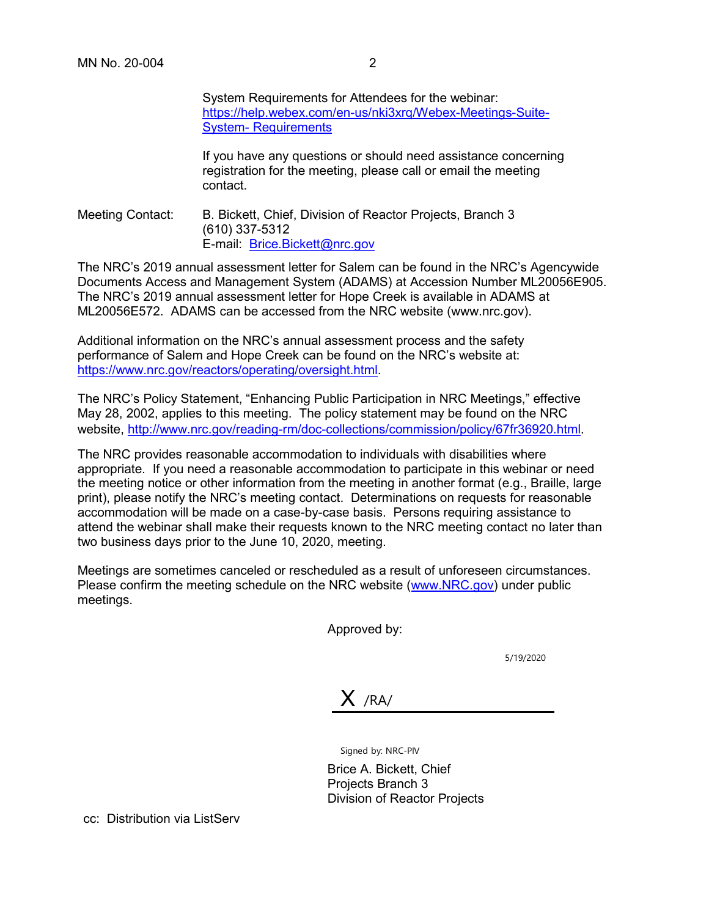System Requirements for Attendees for the webinar: [https://help.webex.com/en-us/nki3xrq/Webex-Meetings-Suite-](https://help.webex.com/en-us/nki3xrq/Webex-Meetings-Suite-System-Requirements)[System-](https://help.webex.com/en-us/nki3xrq/Webex-Meetings-Suite-System-Requirements) [Requirements](https://help.webex.com/en-us/nki3xrq/Webex-Meetings-Suite-System-Requirements)

If you have any questions or should need assistance concerning registration for the meeting, please call or email the meeting contact.

Meeting Contact: B. Bickett, Chief, Division of Reactor Projects, Branch 3 (610) 337-5312 E-mail: Brice.Bickett@nrc.gov

The NRC's 2019 annual assessment letter for Salem can be found in the NRC's Agencywide Documents Access and Management System (ADAMS) at Accession Number ML20056E905. The NRC's 2019 annual assessment letter for Hope Creek is available in ADAMS at ML20056E572. ADAMS can be accessed from the NRC website (www.nrc.gov).

Additional information on the NRC's annual assessment process and the safety performance of Salem and Hope Creek can be found on the NRC's website at: [https://www.nrc.gov/reactors/operating/oversight.html.](https://www.nrc.gov/reactors/operating/oversight.html)

The NRC's Policy Statement, "Enhancing Public Participation in NRC Meetings," effective May 28, 2002, applies to this meeting. The policy statement may be found on the NRC website,<http://www.nrc.gov/reading-rm/doc-collections/commission/policy/67fr36920.html>.

The NRC provides reasonable accommodation to individuals with disabilities where appropriate. If you need a reasonable accommodation to participate in this webinar or need the meeting notice or other information from the meeting in another format (e.g., Braille, large print), please notify the NRC's meeting contact. Determinations on requests for reasonable accommodation will be made on a case-by-case basis. Persons requiring assistance to attend the webinar shall make their requests known to the NRC meeting contact no later than two business days prior to the June 10, 2020, meeting.

Meetings are sometimes canceled or rescheduled as a result of unforeseen circumstances. Please confirm the meeting schedule on the NRC website [\(www.NRC.gov\)](http://www.nrc.gov/) under public meetings.

Approved by:

5/19/2020

 $X$  /RA/

Signed by: NRC-PIV

Brice A. Bickett, Chief Projects Branch 3 Division of Reactor Projects

cc: Distribution via ListServ